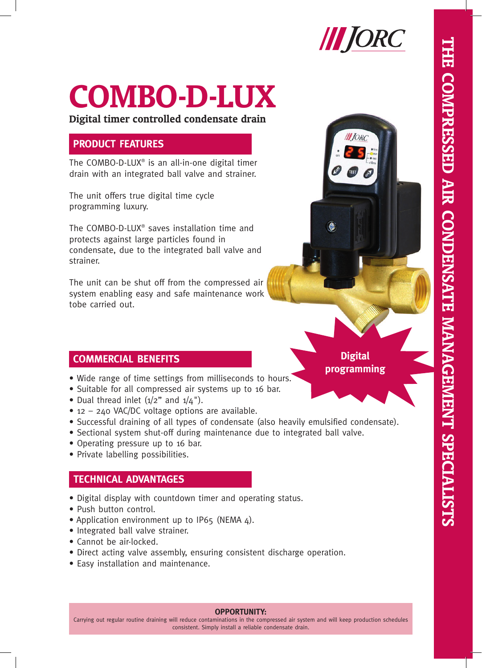

# **COMBO-D-LUX**

**Digital timer controlled condensate drain**

# **PRODUCT FEATURES**

The COMBO-D-LUX® is an all-in-one digital timer drain with an integrated ball valve and strainer.

The unit offers true digital time cycle programming luxury.

The COMBO-D-LUX® saves installation time and protects against large particles found in condensate, due to the integrated ball valve and strainer.

The unit can be shut off from the compressed air system enabling easy and safe maintenance work tobe carried out.

## **COMMERCIAL BENEFITS**

- Wide range of time settings from milliseconds to hours.
- Suitable for all compressed air systems up to 16 bar.
- Dual thread inlet  $(1/2$ " and  $1/4$ ").
- 12 240 VAC/DC voltage options are available.
- Successful draining of all types of condensate (also heavily emulsified condensate).
- Sectional system shut-off during maintenance due to integrated ball valve.
- Operating pressure up to 16 bar.
- Private labelling possibilities.

## **TECHNICAL ADVANTAGES**

- Digital display with countdown timer and operating status.
- Push button control.
- Application environment up to IP65 (NEMA  $\Delta$ ).
- Integrated ball valve strainer.
- Cannot be air-locked.
- Direct acting valve assembly, ensuring consistent discharge operation.
- Easy installation and maintenance.

**Digital programming**

#### **OPPORTUNITY:**

Carrying out regular routine draining will reduce contaminations in the compressed air system and will keep production schedules consistent. Simply install a reliable condensate drain.